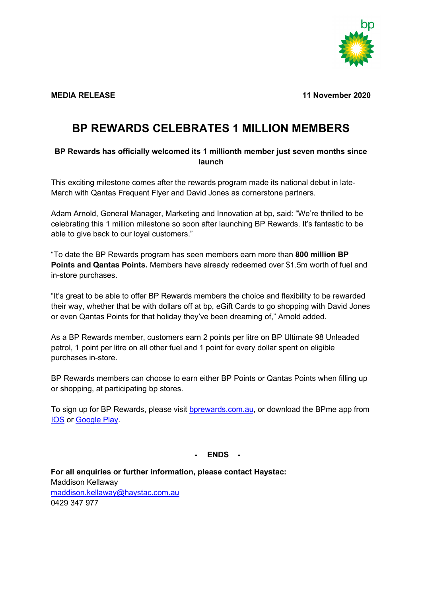

**MEDIA RELEASE 11 November 2020**

## **BP REWARDS CELEBRATES 1 MILLION MEMBERS**

## **BP Rewards has officially welcomed its 1 millionth member just seven months since launch**

This exciting milestone comes after the rewards program made its national debut in late-March with Qantas Frequent Flyer and David Jones as cornerstone partners.

Adam Arnold, General Manager, Marketing and Innovation at bp, said: "We're thrilled to be celebrating this 1 million milestone so soon after launching BP Rewards. It's fantastic to be able to give back to our loyal customers."

"To date the BP Rewards program has seen members earn more than **800 million BP Points and Qantas Points.** Members have already redeemed over \$1.5m worth of fuel and in-store purchases.

"It's great to be able to offer BP Rewards members the choice and flexibility to be rewarded their way, whether that be with dollars off at bp, eGift Cards to go shopping with David Jones or even Qantas Points for that holiday they've been dreaming of," Arnold added.

As a BP Rewards member, customers earn 2 points per litre on BP Ultimate 98 Unleaded petrol, 1 point per litre on all other fuel and 1 point for every dollar spent on eligible purchases in-store.

BP Rewards members can choose to earn either BP Points or Qantas Points when filling up or shopping, at participating bp stores.

To sign up for BP Rewards, please visit [bprewards.com.au,](https://bprewards.com.au/) or download the BPme app from [IOS](https://apps.apple.com/au/app/bpme-pay-for-fuel-in-your-car/id1258154024) or [Google](https://play.google.com/store/apps/details?id=com.bp.mobile.bpme.aus) Play.

**- ENDS -**

**For all enquiries or further information, please contact Haystac:**  Maddison Kellaway [maddison.kellaway@haystac.com.au](mailto:maddison.kellaway@haystac.com.au) 0429 347 977